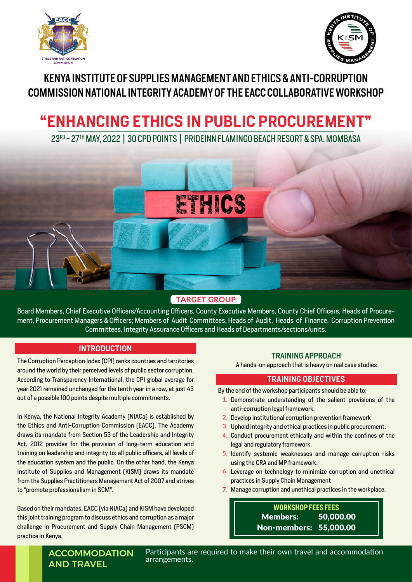



# KENYA INSTITUTE OF SUPPLIES MANAGEMENT AND ETHICS & ANTI-CORRUPTION COMMISSION NATIONAL INTEGRITY ACADEMY OF THE EACC COLLABORATIVE WORKSHOP

# **"ENHANCING ETHICS IN PUBLIC PROCUREMENT"**

23RD - 27TH MAY, 2022 | 30 CPD POINTS | PRIDEINN FLAMINGO BEACH RESORT & SPA, MOMBASA



# **TARGET GROUP**

Board Members, Chief Executive Officers/Accounting Officers, County Executive Members, County Chief Officers, Heads of Procurement, Procurement Managers & Officers; Members of Audit Committees, Heads of Audit, Heads of Finance, Corruption Prevention Committees, Integrity Assurance Officers and Heads of Departments/sections/units.

# **INTRODUCTION**

The Corruption Perception Index (CPI) ranks countries and territories around the world by their perceived levels of public sector corruption. According to Transparency International, the CPI global average for year 2021 remained unchanged for the tenth year in a row, at just 43 out of a possible 100 points despite multiple commitments.

In Kenya, the National Integrity Academy (NIACa) is established by the Ethics and Anti-Corruption Commission (EACC). The Academy draws its mandate from Section 53 of the Leadership and Integrity Act, 2012 provides for the provision of long-term education and training on leadership and integrity to: all public officers, all levels of the education system and the public. On the other hand, the Kenya Institute of Supplies and Management (KISM) draws its mandate from the Supplies Practitioners Management Act of 2007 and strives to "promote professionalism in SCM".

Based on their mandates, EACC (via NIACa) and KISM have developed this joint training program to discuss ethics and corruption as a major challenge in Procurement and Supply Chain Management (PSCM) practice in Kenya.

## TRAINING APPROACH

A hands-on approach that is heavy on real case studies

### **TRAINING OBJECTIVES**

By the end of the workshop participants should be able to:

- 1. Demonstrate understanding of the salient provisions of the anti-corruption legal framework.
- 2. Develop institutional corruption prevention framework
- Uphold integrity and ethical practices in public procurement. **3.**
- 4. Conduct procurement ethically and within the confines of the legal and regulatory framework.
- 5. Identify systemic weaknesses and manage corruption risks using the CRA and MP framework.
- Leverage on technology to minimize corruption and unethical **6.** practices in Supply Chain Management
- Manage corruption and unethical practices in the workplace. **7.**

Members: 50,000.00 Non-members: 55,000.00 **WORKSHOP FEES FEES**

# **ACCOMMODATION** AND TRAVEL

Participants are required to make their own travel and accommodation arrangements.